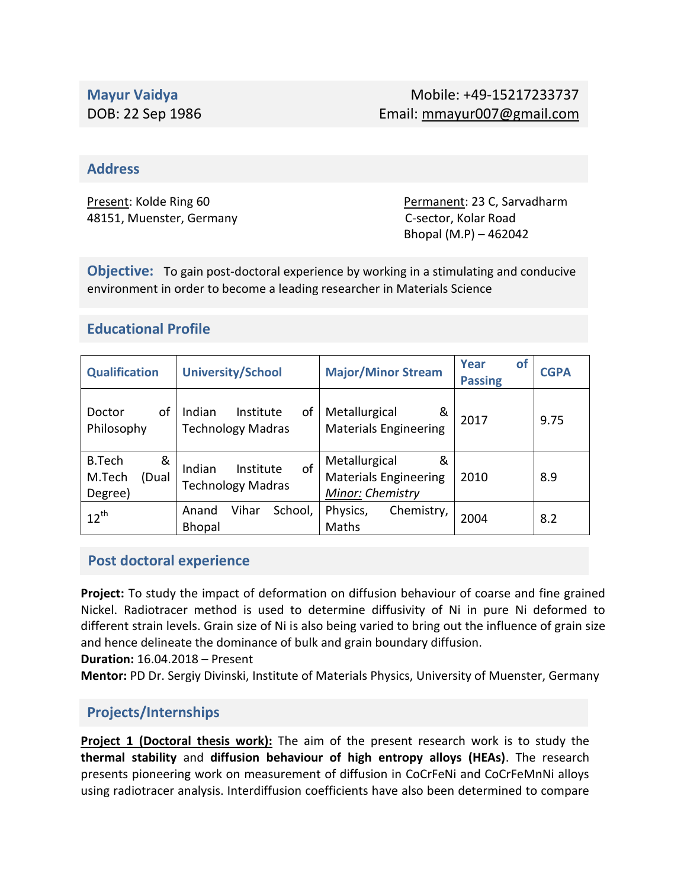#### **Address**

48151, Muenster, Germany C-sector, Kolar Road

Present: Kolde Ring 60 **Permanent: 23 C, Sarvadharm** Bhopal (M.P) – 462042

**Objective:** To gain post-doctoral experience by working in a stimulating and conducive environment in order to become a leading researcher in Materials Science

## **Educational Profile**

| <b>Qualification</b>                             | <b>University/School</b>                              | <b>Major/Minor Stream</b>                                              | Year<br>οt<br><b>Passing</b> | <b>CGPA</b> |
|--------------------------------------------------|-------------------------------------------------------|------------------------------------------------------------------------|------------------------------|-------------|
| οf<br>Doctor<br>Philosophy                       | Indian<br>οf<br>Institute<br><b>Technology Madras</b> | Metallurgical<br>&<br><b>Materials Engineering</b>                     | 2017                         | 9.75        |
| <b>B.Tech</b><br>&<br>M.Tech<br>(Dual<br>Degree) | of<br>Indian<br>Institute<br><b>Technology Madras</b> | Metallurgical<br>&<br><b>Materials Engineering</b><br>Minor: Chemistry | 2010                         | 8.9         |
| $12^{th}$                                        | Vihar<br>School,<br>Anand<br><b>Bhopal</b>            | Physics,<br>Chemistry,<br>Maths                                        | 2004                         | 8.2         |

#### **Post doctoral experience**

**Project:** To study the impact of deformation on diffusion behaviour of coarse and fine grained Nickel. Radiotracer method is used to determine diffusivity of Ni in pure Ni deformed to different strain levels. Grain size of Ni is also being varied to bring out the influence of grain size and hence delineate the dominance of bulk and grain boundary diffusion.

**Duration:** 16.04.2018 – Present

**Mentor:** PD Dr. Sergiy Divinski, Institute of Materials Physics, University of Muenster, Germany

## **Projects/Internships**

**Project 1 (Doctoral thesis work):** The aim of the present research work is to study the **thermal stability** and **diffusion behaviour of high entropy alloys (HEAs)**. The research presents pioneering work on measurement of diffusion in CoCrFeNi and CoCrFeMnNi alloys using radiotracer analysis. Interdiffusion coefficients have also been determined to compare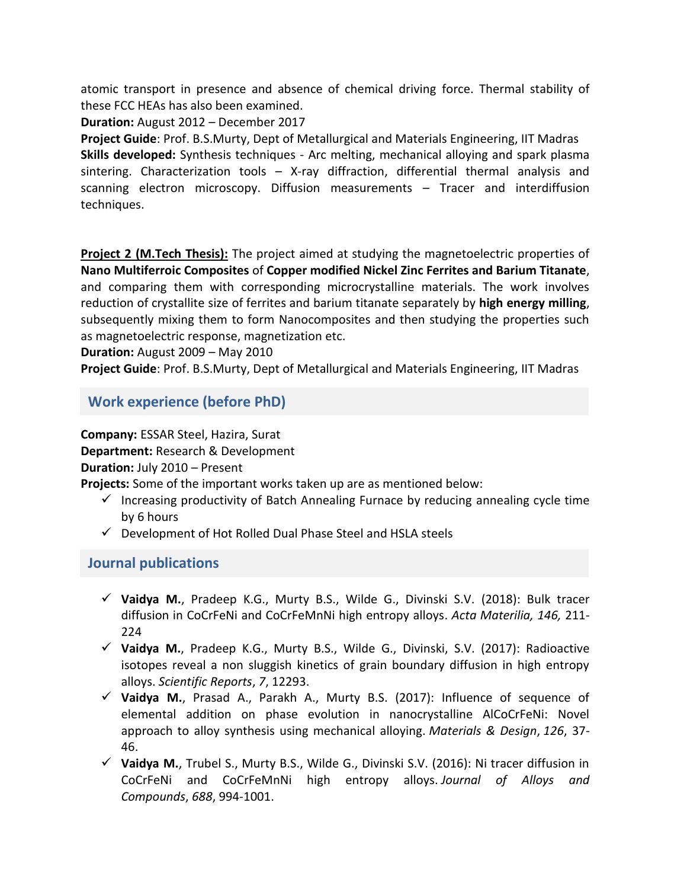atomic transport in presence and absence of chemical driving force. Thermal stability of these FCC HEAs has also been examined.

**Duration:** August 2012 – December 2017

**Project Guide**: Prof. B.S.Murty, Dept of Metallurgical and Materials Engineering, IIT Madras **Skills developed:** Synthesis techniques - Arc melting, mechanical alloying and spark plasma sintering. Characterization tools – X-ray diffraction, differential thermal analysis and scanning electron microscopy. Diffusion measurements – Tracer and interdiffusion techniques.

**Project 2 (M.Tech Thesis):** The project aimed at studying the magnetoelectric properties of **Nano Multiferroic Composites** of **Copper modified Nickel Zinc Ferrites and Barium Titanate**, and comparing them with corresponding microcrystalline materials. The work involves reduction of crystallite size of ferrites and barium titanate separately by **high energy milling**, subsequently mixing them to form Nanocomposites and then studying the properties such as magnetoelectric response, magnetization etc.

**Duration:** August 2009 – May 2010

**Project Guide**: Prof. B.S.Murty, Dept of Metallurgical and Materials Engineering, IIT Madras

**Work experience (before PhD)**

**Company:** ESSAR Steel, Hazira, Surat

**Department:** Research & Development

**Duration:** July 2010 – Present

**Projects:** Some of the important works taken up are as mentioned below:

- $\checkmark$  Increasing productivity of Batch Annealing Furnace by reducing annealing cycle time by 6 hours
- $\checkmark$  Development of Hot Rolled Dual Phase Steel and HSLA steels

#### **Journal publications**

- **Vaidya M.**, Pradeep K.G., Murty B.S., Wilde G., Divinski S.V. (2018): Bulk tracer diffusion in CoCrFeNi and CoCrFeMnNi high entropy alloys. *Acta Materilia, 146,* 211- 224
- **Vaidya M.**, Pradeep K.G., Murty B.S., Wilde G., Divinski, S.V. (2017): Radioactive isotopes reveal a non sluggish kinetics of grain boundary diffusion in high entropy alloys. *Scientific Reports*, *7*, 12293.
- **Vaidya M.**, Prasad A., Parakh A., Murty B.S. (2017): Influence of sequence of elemental addition on phase evolution in nanocrystalline AlCoCrFeNi: Novel approach to alloy synthesis using mechanical alloying. *Materials & Design*, *126*, 37- 46.
- **Vaidya M.**, Trubel S., Murty B.S., Wilde G., Divinski S.V. (2016): Ni tracer diffusion in CoCrFeNi and CoCrFeMnNi high entropy alloys. *Journal of Alloys and Compounds*, *688*, 994-1001.